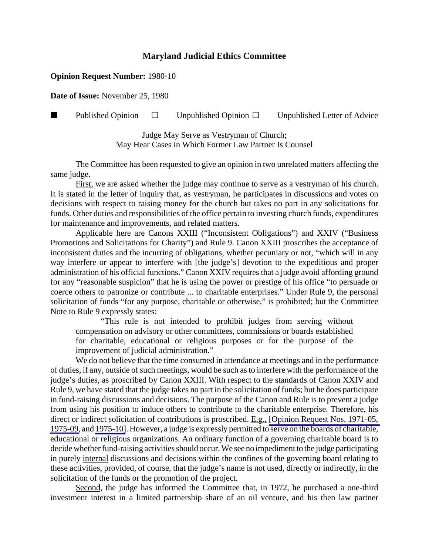## **Maryland Judicial Ethics Committee**

## **Opinion Request Number:** 1980-10

**Date of Issue:** November 25, 1980

**Published Opinion**  $\Box$  Unpublished Opinion  $\Box$  Unpublished Letter of Advice

Judge May Serve as Vestryman of Church; May Hear Cases in Which Former Law Partner Is Counsel

The Committee has been requested to give an opinion in two unrelated matters affecting the same judge.

First, we are asked whether the judge may continue to serve as a vestryman of his church. It is stated in the letter of inquiry that, as vestryman, he participates in discussions and votes on decisions with respect to raising money for the church but takes no part in any solicitations for funds. Other duties and responsibilities of the office pertain to investing church funds, expenditures for maintenance and improvements, and related matters.

Applicable here are Canons XXIII ("Inconsistent Obligations") and XXIV ("Business Promotions and Solicitations for Charity") and Rule 9. Canon XXIII proscribes the acceptance of inconsistent duties and the incurring of obligations, whether pecuniary or not, "which will in any way interfere or appear to interfere with [the judge's] devotion to the expeditious and proper administration of his official functions." Canon XXIV requires that a judge avoid affording ground for any "reasonable suspicion" that he is using the power or prestige of his office "to persuade or coerce others to patronize or contribute ... to charitable enterprises." Under Rule 9, the personal solicitation of funds "for any purpose, charitable or otherwise," is prohibited; but the Committee Note to Rule 9 expressly states:

"This rule is not intended to prohibit judges from serving without compensation on advisory or other committees, commissions or boards established for charitable, educational or religious purposes or for the purpose of the improvement of judicial administration."

We do not believe that the time consumed in attendance at meetings and in the performance of duties, if any, outside of such meetings, would be such as to interfere with the performance of the judge's duties, as proscribed by Canon XXIII. With respect to the standards of Canon XXIV and Rule 9, we have stated that the judge takes no part in the solicitation of funds; but he does participate in fund-raising discussions and decisions. The purpose of the Canon and Rule is to prevent a judge from using his position to induce others to contribute to the charitable enterprise. Therefore, his direct or indirect solicitation of contributions is proscribed. E.g., [\[Opinion Request Nos. 1971-05,](http://www.mdcourts.gov/ethics/pdfs/1971-05.pdf) [1975-09,](http://www.mdcourts.gov/ethics/pdfs/1975-09.pdf) and [1975-10\]](http://www.mdcourts.gov/ethics/pdfs/1975-10.pdf). However, a judge is expressly permitted to serve on the boards of charitable, educational or religious organizations. An ordinary function of a governing charitable board is to decide whether fund-raising activities should occur. We see no impediment to the judge participating in purely internal discussions and decisions within the confines of the governing board relating to these activities, provided, of course, that the judge's name is not used, directly or indirectly, in the solicitation of the funds or the promotion of the project.

Second, the judge has informed the Committee that, in 1972, he purchased a one-third investment interest in a limited partnership share of an oil venture, and his then law partner